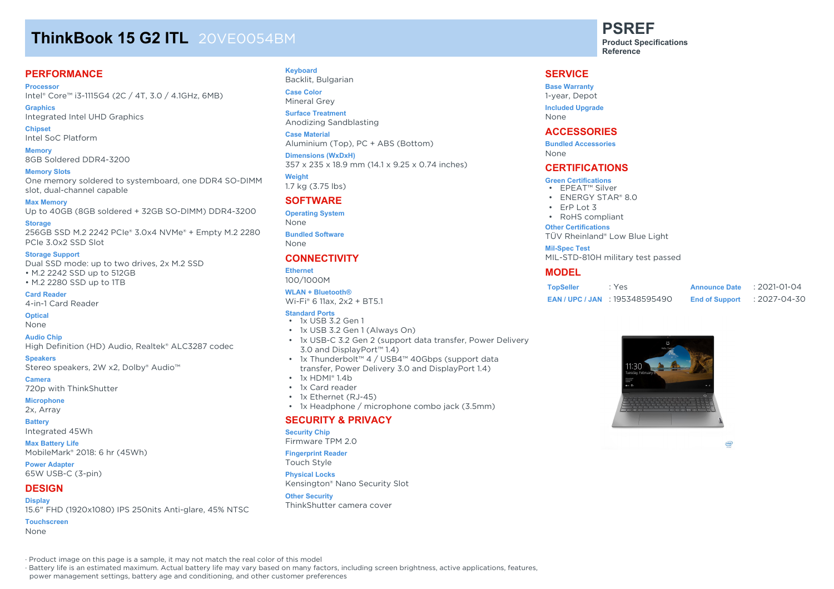# **ThinkBook 15 G2 ITL** 20VE0054BM

## **PERFORMANCE**

**Processor** Intel® Core™ i3-1115G4 (2C / 4T, 3.0 / 4.1GHz, 6MB)

**Graphics** Integrated Intel UHD Graphics

**Chipset** Intel SoC Platform

**Memory** 8GB Soldered DDR4-3200

**Memory Slots**

One memory soldered to systemboard, one DDR4 SO-DIMM slot, dual-channel capable

**Max Memory**

Up to 40GB (8GB soldered + 32GB SO-DIMM) DDR4-3200

**Storage** 256GB SSD M.2 2242 PCIe® 3.0x4 NVMe® + Empty M.2 2280 PCIe 3.0x2 SSD Slot

#### **Storage Support**

Dual SSD mode: up to two drives, 2x M.2 SSD • M.2 2242 SSD up to 512GB • M.2 2280 SSD up to 1TB

**Card Reader** 4-in-1 Card Reader

**Optical**

None

**Audio Chip**

High Definition (HD) Audio, Realtek® ALC3287 codec

**Speakers**

Stereo speakers, 2W x2, Dolby® Audio™

**Camera**

#### 720p with ThinkShutter **Microphone**

2x, Array

**Battery** Integrated 45Wh

**Max Battery Life** MobileMark® 2018: 6 hr (45Wh)

**Power Adapter** 65W USB-C (3-pin)

## **DESIGN**

**Display** 15.6" FHD (1920x1080) IPS 250nits Anti-glare, 45% NTSC

**Touchscreen**

None

### **Keyboard**

Backlit, Bulgarian **Case Color**

Mineral Grey **Surface Treatment**

Anodizing Sandblasting **Case Material**

Aluminium (Top), PC + ABS (Bottom)

**Dimensions (WxDxH)** 357 x 235 x 18.9 mm (14.1 x 9.25 x 0.74 inches)

**Weight** 1.7 kg (3.75 lbs)

## **SOFTWARE**

**Operating System** None

**Bundled Software** None

## **CONNECTIVITY**

**Ethernet** 100/1000M

#### **WLAN + Bluetooth®**

Wi-Fi® 6 11ax, 2x2 + BT5.1

### **Standard Ports**

- 1x USB 3.2 Gen 1
- 1x USB 3.2 Gen 1 (Always On)
- 1x USB-C 3.2 Gen 2 (support data transfer, Power Delivery 3.0 and DisplayPort™ 1.4)
- 1x Thunderbolt™ 4 / USB4™ 40Gbps (support data transfer, Power Delivery 3.0 and DisplayPort 1.4)
- $\cdot$  1x HDMI® 1.4b
- 1x Card reader
- 1x Ethernet (RJ-45)
- 1x Headphone / microphone combo jack (3.5mm)

## **SECURITY & PRIVACY**

#### **Security Chip**

Firmware TPM 2.0

#### **Fingerprint Reader**

Touch Style

#### **Physical Locks**

Kensington® Nano Security Slot

#### **Other Security**

ThinkShutter camera cover

**PSREF**

**Product Specifications Reference**

## **SERVICE**

**Base Warranty** 1-year, Depot **Included Upgrade**

None

### **ACCESSORIES**

**Bundled Accessories** None

### **CERTIFICATIONS**

#### **Green Certifications**

- EPEAT™ Silver
- ENERGY STAR® 8.0
- $\cdot$  FrP Lot 3
- RoHS compliant

#### **Other Certifications**

TÜV Rheinland® Low Blue Light

**Mil-Spec Test**

MIL-STD-810H military test passed

### **MODEL**

| <b>TopSeller</b> | : Yes                             | <b>Announce Date</b>  | $: 2021 - 01 - 04$ |
|------------------|-----------------------------------|-----------------------|--------------------|
|                  | <b>EAN/UPC/JAN : 195348595490</b> | <b>End of Support</b> | $: 2027 - 04 - 30$ |



(intel)

· Product image on this page is a sample, it may not match the real color of this model

· Battery life is an estimated maximum. Actual battery life may vary based on many factors, including screen brightness, active applications, features,

power management settings, battery age and conditioning, and other customer preferences